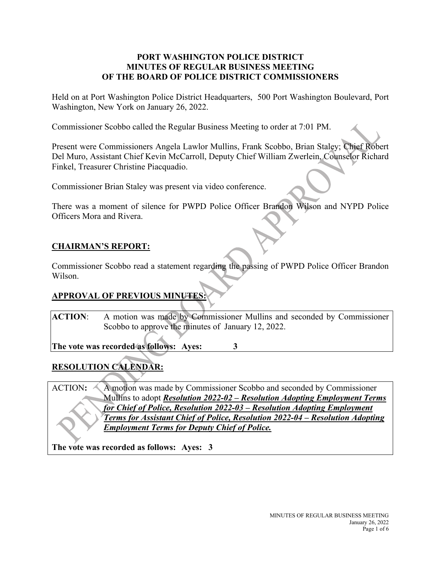#### **PORT WASHINGTON POLICE DISTRICT MINUTES OF REGULAR BUSINESS MEETING OF THE BOARD OF POLICE DISTRICT COMMISSIONERS**

Held on at Port Washington Police District Headquarters, 500 Port Washington Boulevard, Port Washington, New York on January 26, 2022.

Commissioner Scobbo called the Regular Business Meeting to order at 7:01 PM.

Present were Commissioners Angela Lawlor Mullins, Frank Scobbo, Brian Staley; Chief Robert Del Muro, Assistant Chief Kevin McCarroll, Deputy Chief William Zwerlein, Counselor Richard Finkel, Treasurer Christine Piacquadio.

Commissioner Brian Staley was present via video conference.

There was a moment of silence for PWPD Police Officer Brandon Wilson and NYPD Police Officers Mora and Rivera.

# **CHAIRMAN'S REPORT:**

Commissioner Scobbo read a statement regarding the passing of PWPD Police Officer Brandon Wilson.

# **APPROVAL OF PREVIOUS MINUTES:**

**ACTION**: A motion was made by Commissioner Mullins and seconded by Commissioner Scobbo to approve the minutes of January 12, 2022.

**The vote was recorded as follows: Ayes: 3**

# **RESOLUTION CALENDAR:**

ACTION**:** A motion was made by Commissioner Scobbo and seconded by Commissioner Mullins to adopt *Resolution 2022-02 – Resolution Adopting Employment Terms for Chief of Police, Resolution 2022-03 – Resolution Adopting Employment Terms for Assistant Chief of Police, Resolution 2022-04 – Resolution Adopting Employment Terms for Deputy Chief of Police.*

**The vote was recorded as follows: Ayes: 3**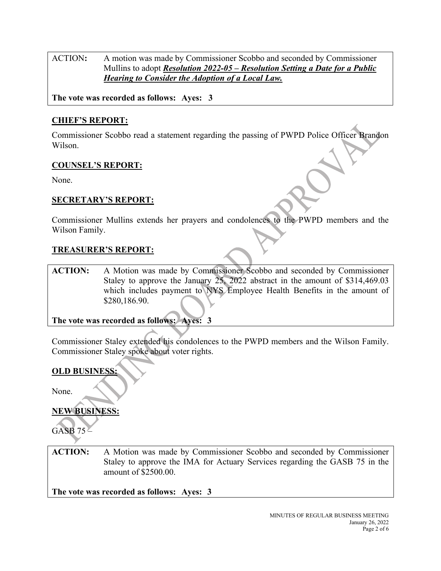ACTION**:** A motion was made by Commissioner Scobbo and seconded by Commissioner Mullins to adopt *Resolution 2022-05 – Resolution Setting a Date for a Public Hearing to Consider the Adoption of a Local Law.*

**The vote was recorded as follows: Ayes: 3**

### **CHIEF'S REPORT:**

Commissioner Scobbo read a statement regarding the passing of PWPD Police Officer Brandon Wilson.

#### **COUNSEL'S REPORT:**

None.

#### **SECRETARY'S REPORT:**

Commissioner Mullins extends her prayers and condolences to the PWPD members and the Wilson Family.

#### **TREASURER'S REPORT:**

**ACTION:** A Motion was made by Commissioner Scobbo and seconded by Commissioner Staley to approve the January 25, 2022 abstract in the amount of \$314,469.03 which includes payment to NYS Employee Health Benefits in the amount of \$280,186.90.

**The vote was recorded as follows: Ayes: 3**

Commissioner Staley extended his condolences to the PWPD members and the Wilson Family. Commissioner Staley spoke about voter rights.

#### **OLD BUSINESS:**

None.

# **NEW BUSINESS:**



**ACTION:** A Motion was made by Commissioner Scobbo and seconded by Commissioner Staley to approve the IMA for Actuary Services regarding the GASB 75 in the amount of \$2500.00.

**The vote was recorded as follows: Ayes: 3**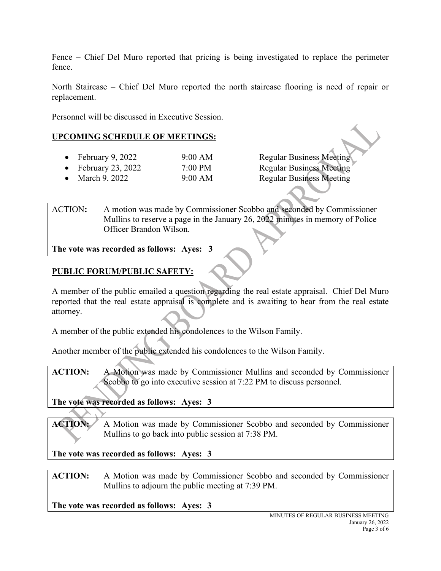Fence – Chief Del Muro reported that pricing is being investigated to replace the perimeter fence.

North Staircase – Chief Del Muro reported the north staircase flooring is need of repair or replacement.

Personnel will be discussed in Executive Session.

#### **UPCOMING SCHEDULE OF MEETINGS:**

- February 9, 2022 9:00 AM Regular Business Meeting
- February 23, 2022 7:00 PM Regular Business Meeting
- March 9. 2022 9:00 AM Regular Business Meeting

ACTION**:** A motion was made by Commissioner Scobbo and seconded by Commissioner Mullins to reserve a page in the January 26, 2022 minutes in memory of Police Officer Brandon Wilson.

**The vote was recorded as follows: Ayes: 3**

# **PUBLIC FORUM/PUBLIC SAFETY:**

A member of the public emailed a question regarding the real estate appraisal. Chief Del Muro reported that the real estate appraisal is complete and is awaiting to hear from the real estate attorney.

A member of the public extended his condolences to the Wilson Family.

Another member of the public extended his condolences to the Wilson Family.

**ACTION:** A Motion was made by Commissioner Mullins and seconded by Commissioner Scobbo to go into executive session at 7:22 PM to discuss personnel.

**The vote was recorded as follows: Ayes: 3**

**ACTION:** A Motion was made by Commissioner Scobbo and seconded by Commissioner Mullins to go back into public session at 7:38 PM.

**The vote was recorded as follows: Ayes: 3**

**ACTION:** A Motion was made by Commissioner Scobbo and seconded by Commissioner Mullins to adjourn the public meeting at 7:39 PM.

**The vote was recorded as follows: Ayes: 3**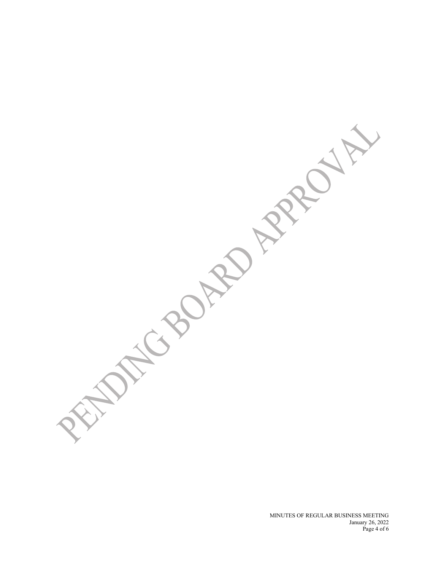Arican Reported NY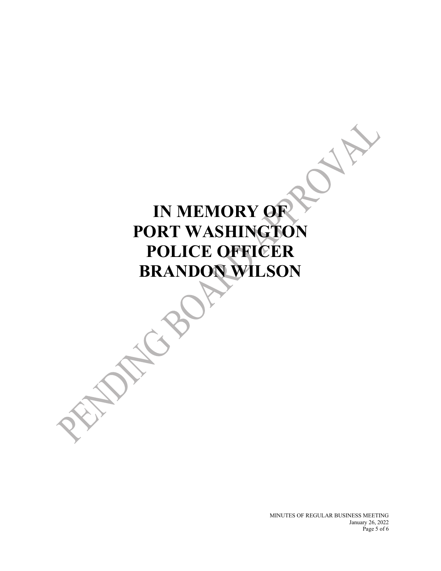# **IN MEMORY OF PORT WASHINGTON POLICE OFFICER BRANDON WILSON**

MINUTES OF REGULAR BUSINESS MEETING January 26, 2022 Page 5 of 6